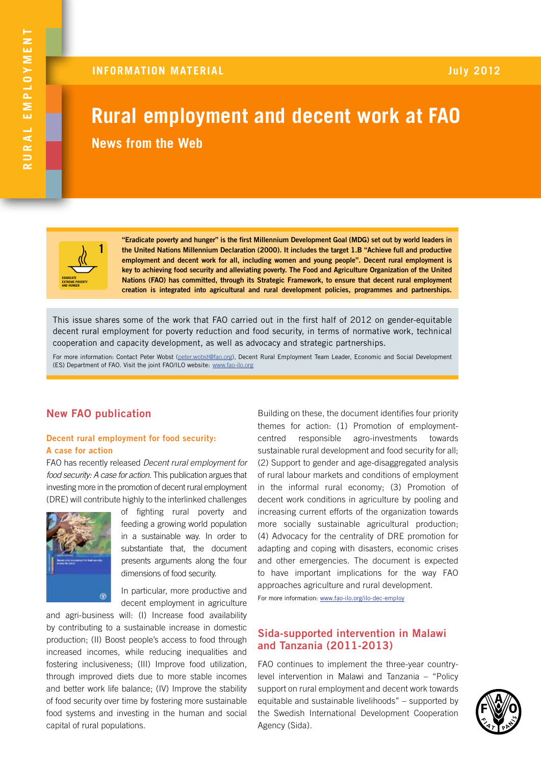# **Rural employment and decent work at FAO News from the Web**



**"Eradicate poverty and hunger" is the first Millennium Development Goal (MDG) set out by world leaders in the United Nations Millennium Declaration (2000). It includes the target 1.B "Achieve full and productive employment and decent work for all, including women and young people". Decent rural employment is key to achieving food security and alleviating poverty. The Food and Agriculture Organization of the United Nations (FAO) has committed, through its Strategic Framework, to ensure that decent rural employment creation is integrated into agricultural and rural development policies, programmes and partnerships.**

This issue shares some of the work that FAO carried out in the first half of 2012 on gender-equitable decent rural employment for poverty reduction and food security, in terms of normative work, technical cooperation and capacity development, as well as advocacy and strategic partnerships.

For more information: Contact Peter Wobst [\(peter.wobst@fao.org\)](mailto:peter.wobst%40fao.org?subject=)*,* Decent Rural Employment Team Leader, Economic and Social Development (ES) Department of FAO. Visit the joint FAO/ILO website: www.fao-ilo.org

# **New FAO publication**

## **Decent rural employment for food security: A case for action**

FAO has recently released *Decent rural employment for food security: A case for action*. This publication argues that investing more in the promotion of decent rural employment (DRE) will contribute highly to the interlinked challenges



of fighting rural poverty and feeding a growing world population in a sustainable way. In order to substantiate that, the document presents arguments along the four dimensions of food security.

In particular, more productive and decent employment in agriculture

and agri-business will: (I) Increase food availability by contributing to a sustainable increase in domestic production; (II) Boost people's access to food through increased incomes, while reducing inequalities and fostering inclusiveness; (III) Improve food utilization, through improved diets due to more stable incomes and better work life balance; (IV) Improve the stability of food security over time by fostering more sustainable food systems and investing in the human and social capital of rural populations.

Building on these, the document identifies four priority themes for action: (1) Promotion of employmentcentred responsible agro-investments towards sustainable rural development and food security for all; (2) Support to gender and age-disaggregated analysis of rural labour markets and conditions of employment in the informal rural economy; (3) Promotion of decent work conditions in agriculture by pooling and increasing current efforts of the organization towards more socially sustainable agricultural production; (4) Advocacy for the centrality of DRE promotion for adapting and coping with disasters, economic crises and other emergencies. The document is expected to have important implications for the way FAO approaches agriculture and rural development.

For more information: www.fao-ilo.org/ilo-dec-employ

# **Sida-supported intervention in Malawi and Tanzania (2011-2013)**

FAO continues to implement the three-year countrylevel intervention in Malawi and Tanzania – "Policy support on rural employment and decent work towards equitable and sustainable livelihoods" – supported by the Swedish International Development Cooperation Agency (Sida).

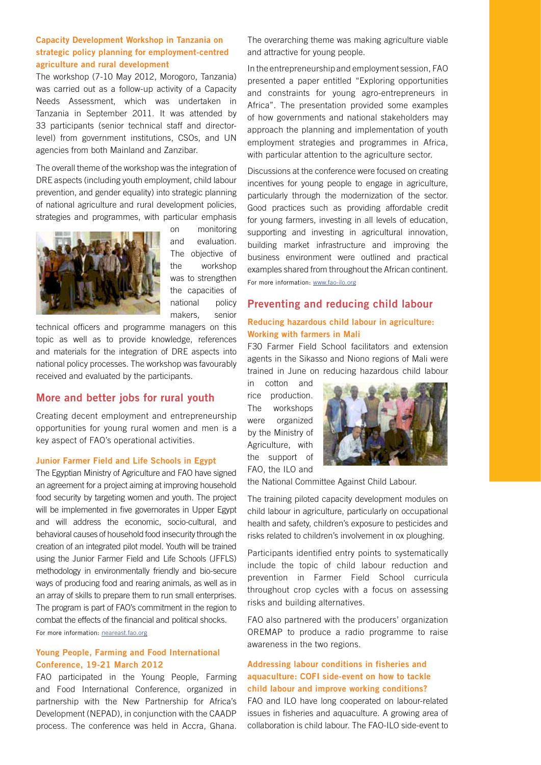## **Capacity Development Workshop in Tanzania on strategic policy planning for employment-centred agriculture and rural development**

The workshop (7-10 May 2012, Morogoro, Tanzania) was carried out as a follow-up activity of a Capacity Needs Assessment, which was undertaken in Tanzania in September 2011. It was attended by 33 participants (senior technical staff and directorlevel) from government institutions, CSOs, and UN agencies from both Mainland and Zanzibar.

The overall theme of the workshop was the integration of DRE aspects (including youth employment, child labour prevention, and gender equality) into strategic planning of national agriculture and rural development policies, strategies and programmes, with particular emphasis



on monitoring and evaluation. The objective of the workshop was to strengthen the capacities of national policy makers, senior

technical officers and programme managers on this topic as well as to provide knowledge, references and materials for the integration of DRE aspects into national policy processes. The workshop was favourably received and evaluated by the participants.

# **More and better jobs for rural youth**

Creating decent employment and entrepreneurship opportunities for young rural women and men is a key aspect of FAO's operational activities.

## **Junior Farmer Field and Life Schools in Egypt**

The Egyptian Ministry of Agriculture and FAO have signed an agreement for a project aiming at improving household food security by targeting women and youth. The project will be implemented in five governorates in Upper Egypt and will address the economic, socio-cultural, and behavioral causes of household food insecurity through the creation of an integrated pilot model. Youth will be trained using the Junior Farmer Field and Life Schools (JFFLS) methodology in environmentally friendly and bio-secure ways of producing food and rearing animals, as well as in an array of skills to prepare them to run small enterprises. The program is part of FAO's commitment in the region to combat the effects of the financial and political shocks. For more information: [neareast.fao.org](http://neareast.fao.org)

## **Young People, Farming and Food International Conference, 19-21 March 2012**

FAO participated in the Young People, Farming and Food International Conference, organized in partnership with the New Partnership for Africa's Development (NEPAD), in conjunction with the CAADP process. The conference was held in Accra, Ghana. The overarching theme was making agriculture viable and attractive for young people.

In the entrepreneurship and employment session, FAO presented a paper entitled "Exploring opportunities and constraints for young agro-entrepreneurs in Africa". The presentation provided some examples of how governments and national stakeholders may approach the planning and implementation of youth employment strategies and programmes in Africa, with particular attention to the agriculture sector.

Discussions at the conference were focused on creating incentives for young people to engage in agriculture, particularly through the modernization of the sector. Good practices such as providing affordable credit for young farmers, investing in all levels of education, supporting and investing in agricultural innovation, building market infrastructure and improving the business environment were outlined and practical examples shared from throughout the African continent. For more information: www.fao-ilo.org

# **Preventing and reducing child labour Reducing hazardous child labour in agriculture: Working with farmers in Mali**

F30 Farmer Field School facilitators and extension agents in the Sikasso and Niono regions of Mali were trained in June on reducing hazardous child labour

in cotton and rice production. The workshops were organized by the Ministry of Agriculture, with the support of FAO, the ILO and



the National Committee Against Child Labour.

The training piloted capacity development modules on child labour in agriculture, particularly on occupational health and safety, children's exposure to pesticides and risks related to children's involvement in ox ploughing.

Participants identified entry points to systematically include the topic of child labour reduction and prevention in Farmer Field School curricula throughout crop cycles with a focus on assessing risks and building alternatives.

FAO also partnered with the producers' organization OREMAP to produce a radio programme to raise awareness in the two regions.

# **Addressing labour conditions in fisheries and aquaculture: COFI side-event on how to tackle child labour and improve working conditions?**

FAO and ILO have long cooperated on labour-related issues in fisheries and aquaculture. A growing area of collaboration is child labour. The FAO-ILO side-event to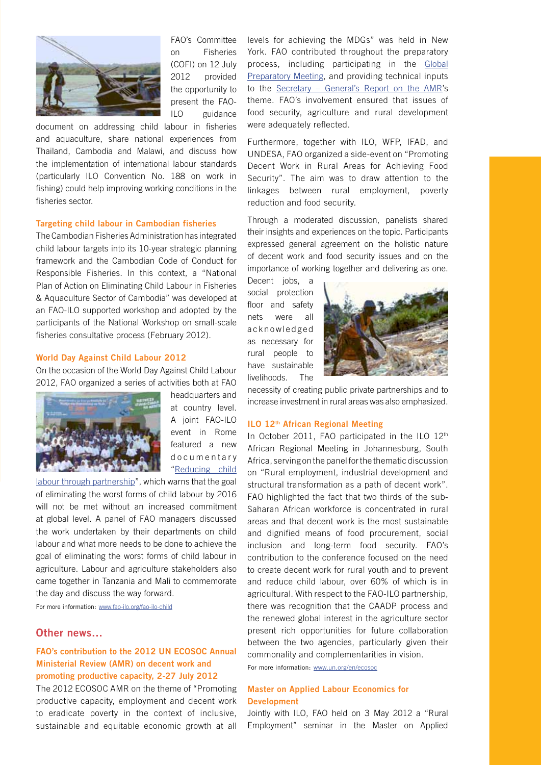

FAO's Committee on Fisheries (COFI) on 12 July 2012 provided the opportunity to present the FAO-ILO guidance

document on addressing child labour in fisheries and aquaculture, share national experiences from Thailand, Cambodia and Malawi, and discuss how the implementation of international labour standards (particularly ILO Convention No. 188 on work in fishing) could help improving working conditions in the fisheries sector.

#### **Targeting child labour in Cambodian fisheries**

The Cambodian Fisheries Administration has integrated child labour targets into its 10-year strategic planning framework and the Cambodian Code of Conduct for Responsible Fisheries. In this context, a "National Plan of Action on Eliminating Child Labour in Fisheries & Aquaculture Sector of Cambodia" was developed at an FAO-ILO supported workshop and adopted by the participants of the National Workshop on small-scale fisheries consultative process (February 2012).

#### **World Day Against Child Labour 2012**

On the occasion of the World Day Against Child Labour 2012, FAO organized a series of activities both at FAO



headquarters and at country level. A joint FAO-ILO event in Rome featured a new d o c u m e n t a r v ["Reducing child](http://www.youtube.com/watch?v=2pqC6pJvYNc&feature=youtu.be) 

[labour through partnership"](http://www.youtube.com/watch?v=2pqC6pJvYNc&feature=youtu.be), which warns that the goal of eliminating the worst forms of child labour by 2016 will not be met without an increased commitment at global level. A panel of FAO managers discussed the work undertaken by their departments on child labour and what more needs to be done to achieve the goal of eliminating the worst forms of child labour in agriculture. Labour and agriculture stakeholders also came together in Tanzania and Mali to commemorate the day and discuss the way forward.

For more information: www.fao-ilo.org/fao-ilo-child

# **Other news…**

# **FAO's contribution to the 2012 UN ECOSOC Annual Ministerial Review (AMR) on decent work and promoting productive capacity, 2-27 July 2012**

The 2012 ECOSOC AMR on the theme of "Promoting productive capacity, employment and decent work to eradicate poverty in the context of inclusive, sustainable and equitable economic growth at all levels for achieving the MDGs" was held in New York. FAO contributed throughout the preparatory process, including participating in the [Global](http://www.un.org/en/ecosoc/newfunct/gpm2012.shtml)  [Preparatory Meeting,](http://www.un.org/en/ecosoc/newfunct/gpm2012.shtml) and providing technical inputs to the [Secretary – General's Report on the AMR'](http://www.un.org/en/ecosoc/docs/adv2012/oesc_12_amr_sg_rep.final.26_apr_2012.pdf)s theme. FAO's involvement ensured that issues of food security, agriculture and rural development were adequately reflected.

Furthermore, together with ILO, WFP, IFAD, and UNDESA, FAO organized a side-event on "Promoting Decent Work in Rural Areas for Achieving Food Security". The aim was to draw attention to the linkages between rural employment, poverty reduction and food security.

Through a moderated discussion, panelists shared their insights and experiences on the topic. Participants expressed general agreement on the holistic nature of decent work and food security issues and on the importance of working together and delivering as one.

Decent jobs, a social protection floor and safety nets were all a c k n o w l e d g e d as necessary for rural people to have sustainable livelihoods. The



necessity of creating public private partnerships and to increase investment in rural areas was also emphasized.

### **ILO 12th African Regional Meeting**

In October 2011, FAO participated in the ILO 12<sup>th</sup> African Regional Meeting in Johannesburg, South Africa, serving on the panel for the thematic discussion on "Rural employment, industrial development and structural transformation as a path of decent work". FAO highlighted the fact that two thirds of the sub-Saharan African workforce is concentrated in rural areas and that decent work is the most sustainable and dignified means of food procurement, social inclusion and long-term food security. FAO's contribution to the conference focused on the need to create decent work for rural youth and to prevent and reduce child labour, over 60% of which is in agricultural. With respect to the FAO-ILO partnership, there was recognition that the CAADP process and the renewed global interest in the agriculture sector present rich opportunities for future collaboration between the two agencies, particularly given their commonality and complementarities in vision.

For more information: www.un.org/en/ecosoc

## **Master on Applied Labour Economics for Development**

Jointly with ILO, FAO held on 3 May 2012 a "Rural Employment" seminar in the Master on Applied